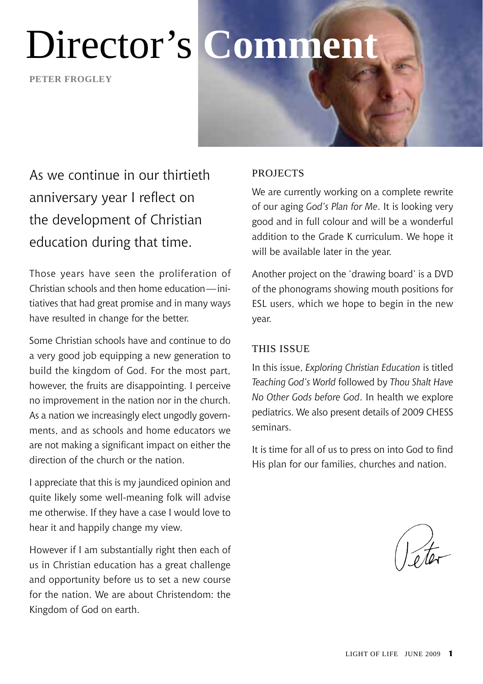# Director's **Comment**

**peter frogley**

# As we continue in our thirtieth anniversary year I reflect on the development of Christian education during that time.

Those years have seen the proliferation of Christian schools and then home education—initiatives that had great promise and in many ways have resulted in change for the better.

Some Christian schools have and continue to do a very good job equipping a new generation to build the kingdom of God. For the most part, however, the fruits are disappointing. I perceive no improvement in the nation nor in the church. As a nation we increasingly elect ungodly governments, and as schools and home educators we are not making a significant impact on either the direction of the church or the nation.

I appreciate that this is my jaundiced opinion and quite likely some well-meaning folk will advise me otherwise. If they have a case I would love to hear it and happily change my view.

However if I am substantially right then each of us in Christian education has a great challenge and opportunity before us to set a new course for the nation. We are about Christendom: the Kingdom of God on earth.

### **PROJECTS**

We are currently working on a complete rewrite of our aging *God's Plan for Me*. It is looking very good and in full colour and will be a wonderful addition to the Grade K curriculum. We hope it will be available later in the year.

Another project on the 'drawing board' is a DVD of the phonograms showing mouth positions for ESL users, which we hope to begin in the new year.

### This Issue

In this issue, *Exploring Christian Education* is titled *Teaching God's World* followed by *Thou Shalt Have No Other Gods before God*. In health we explore pediatrics. We also present details of 2009 CHESS seminars.

It is time for all of us to press on into God to find His plan for our families, churches and nation.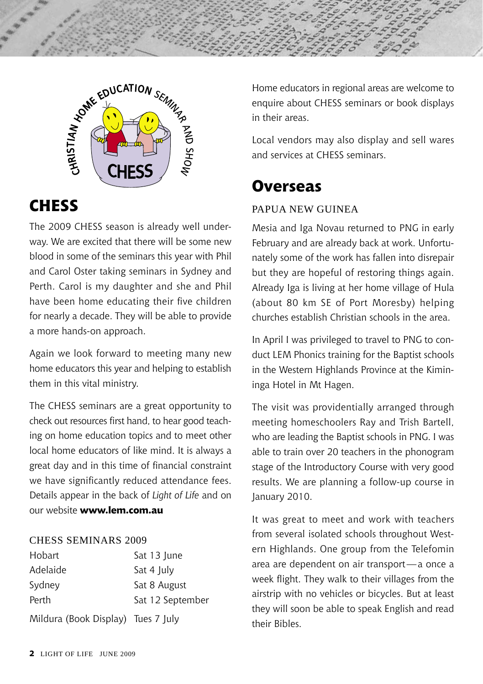



### **CHESS**

The 2009 CHESS season is already well underway. We are excited that there will be some new blood in some of the seminars this year with Phil and Carol Oster taking seminars in Sydney and Perth. Carol is my daughter and she and Phil have been home educating their five children for nearly a decade. They will be able to provide a more hands-on approach.

Again we look forward to meeting many new home educators this year and helping to establish them in this vital ministry.

The CHESS seminars are a great opportunity to check out resources first hand, to hear good teaching on home education topics and to meet other local home educators of like mind. It is always a great day and in this time of financial constraint we have significantly reduced attendance fees. Details appear in the back of *Light of Life* and on our website **www.lem.com.au**

#### CHESS Seminars 2009

| Hobart                             | Sat 13 June      |
|------------------------------------|------------------|
| Adelaide                           | Sat 4 July       |
| Sydney                             | Sat 8 August     |
| Perth                              | Sat 12 September |
| Mildura (Book Display) Tues 7 July |                  |

Home educators in regional areas are welcome to enquire about CHESS seminars or book displays in their areas.

Local vendors may also display and sell wares and services at CHESS seminars.

### **Overseas**

### Papua New Guinea

Mesia and Iga Novau returned to PNG in early February and are already back at work. Unfortunately some of the work has fallen into disrepair but they are hopeful of restoring things again. Already Iga is living at her home village of Hula (about 80 km SE of Port Moresby) helping churches establish Christian schools in the area.

In April I was privileged to travel to PNG to conduct LEM Phonics training for the Baptist schools in the Western Highlands Province at the Kimininga Hotel in Mt Hagen.

The visit was providentially arranged through meeting homeschoolers Ray and Trish Bartell, who are leading the Baptist schools in PNG. I was able to train over 20 teachers in the phonogram stage of the Introductory Course with very good results. We are planning a follow-up course in January 2010.

It was great to meet and work with teachers from several isolated schools throughout Western Highlands. One group from the Telefomin area are dependent on air transport—a once a week flight. They walk to their villages from the airstrip with no vehicles or bicycles. But at least they will soon be able to speak English and read their Bibles.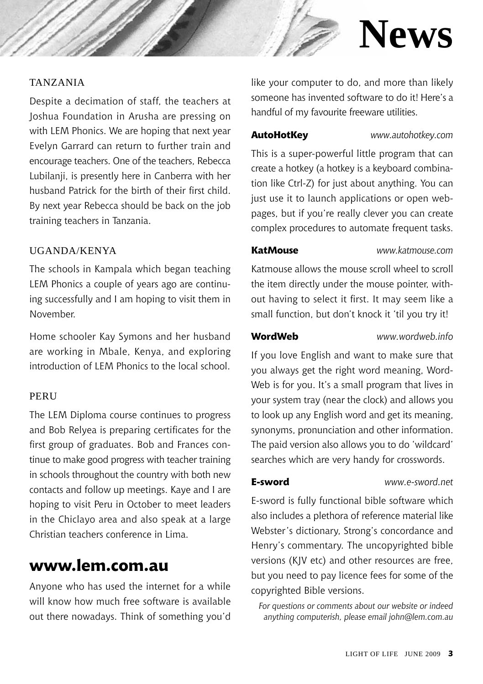# **News**

### Tanzania

Despite a decimation of staff, the teachers at Joshua Foundation in Arusha are pressing on with LEM Phonics. We are hoping that next year Evelyn Garrard can return to further train and encourage teachers. One of the teachers, Rebecca Lubilanji, is presently here in Canberra with her husband Patrick for the birth of their first child. By next year Rebecca should be back on the job training teachers in Tanzania.

### Uganda/Kenya

The schools in Kampala which began teaching LEM Phonics a couple of years ago are continuing successfully and I am hoping to visit them in November.

Home schooler Kay Symons and her husband are working in Mbale, Kenya, and exploring introduction of LEM Phonics to the local school.

#### **PERU**

The LEM Diploma course continues to progress and Bob Relyea is preparing certificates for the first group of graduates. Bob and Frances continue to make good progress with teacher training in schools throughout the country with both new contacts and follow up meetings. Kaye and I are hoping to visit Peru in October to meet leaders in the Chiclayo area and also speak at a large Christian teachers conference in Lima.

### **www.lem.com.au**

Anyone who has used the internet for a while will know how much free software is available out there nowadays. Think of something you'd like your computer to do, and more than likely someone has invented software to do it! Here's a handful of my favourite freeware utilities.

**AutoHotKey** *www.autohotkey.com*

This is a super-powerful little program that can create a hotkey (a hotkey is a keyboard combination like Ctrl-Z) for just about anything. You can just use it to launch applications or open webpages, but if you're really clever you can create complex procedures to automate frequent tasks.

#### **KatMouse** *www.katmouse.com*

Katmouse allows the mouse scroll wheel to scroll the item directly under the mouse pointer, without having to select it first. It may seem like a small function, but don't knock it 'til you try it!

**WordWeb** *www.wordweb.info*

If you love English and want to make sure that you always get the right word meaning, Word-Web is for you. It's a small program that lives in your system tray (near the clock) and allows you to look up any English word and get its meaning, synonyms, pronunciation and other information. The paid version also allows you to do 'wildcard' searches which are very handy for crosswords.

**E-sword** *www.e-sword.net*

E-sword is fully functional bible software which also includes a plethora of reference material like Webster's dictionary, Strong's concordance and Henry's commentary. The uncopyrighted bible versions (KJV etc) and other resources are free, but you need to pay licence fees for some of the copyrighted Bible versions.

*For questions or comments about our website or indeed anything computerish, please email john@lem.com.au*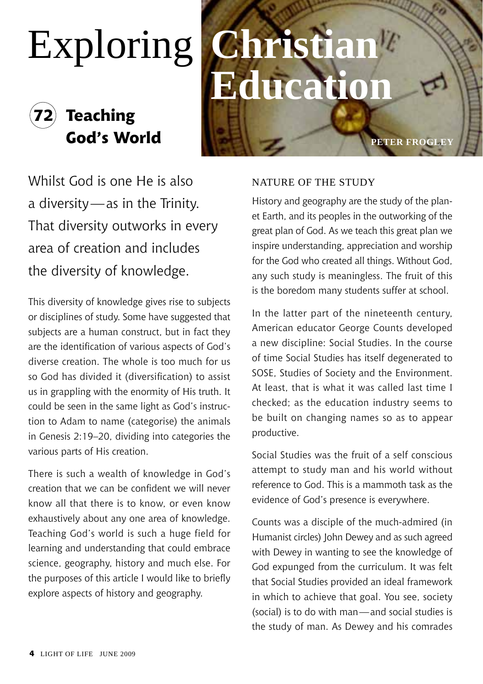# Exploring **Christian**

# **72 Teaching God's World peter frogle**

# ducation

Whilst God is one He is also a diversity—as in the Trinity. That diversity outworks in every area of creation and includes the diversity of knowledge.

This diversity of knowledge gives rise to subjects or disciplines of study. Some have suggested that subjects are a human construct, but in fact they are the identification of various aspects of God's diverse creation. The whole is too much for us so God has divided it (diversification) to assist us in grappling with the enormity of His truth. It could be seen in the same light as God's instruction to Adam to name (categorise) the animals in Genesis 2:19–20, dividing into categories the various parts of His creation.

There is such a wealth of knowledge in God's creation that we can be confident we will never know all that there is to know, or even know exhaustively about any one area of knowledge. Teaching God's world is such a huge field for learning and understanding that could embrace science, geography, history and much else. For the purposes of this article I would like to briefly explore aspects of history and geography.

### Nature of the study

History and geography are the study of the planet Earth, and its peoples in the outworking of the great plan of God. As we teach this great plan we inspire understanding, appreciation and worship for the God who created all things. Without God, any such study is meaningless. The fruit of this is the boredom many students suffer at school.

In the latter part of the nineteenth century, American educator George Counts developed a new discipline: Social Studies. In the course of time Social Studies has itself degenerated to SOSE, Studies of Society and the Environment. At least, that is what it was called last time I checked; as the education industry seems to be built on changing names so as to appear productive.

Social Studies was the fruit of a self conscious attempt to study man and his world without reference to God. This is a mammoth task as the evidence of God's presence is everywhere.

Counts was a disciple of the much-admired (in Humanist circles) John Dewey and as such agreed with Dewey in wanting to see the knowledge of God expunged from the curriculum. It was felt that Social Studies provided an ideal framework in which to achieve that goal. You see, society (social) is to do with man—and social studies is the study of man. As Dewey and his comrades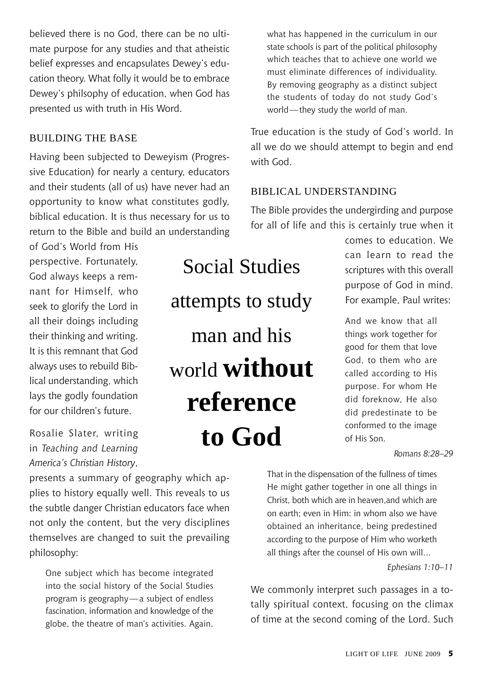believed there is no God, there can be no ultimate purpose for any studies and that atheistic belief expresses and encapsulates Dewey's education theory. What folly it would be to embrace Dewey's philsophy of education, when God has presented us with truth in His Word.

### Building the base

Having been subjected to Deweyism (Progressive Education) for nearly a century, educators and their students (all of us) have never had an opportunity to know what constitutes godly, biblical education. It is thus necessary for us to return to the Bible and build an understanding

of God's World from His perspective. Fortunately, God always keeps a remnant for Himself, who seek to glorify the Lord in all their doings including their thinking and writing. It is this remnant that God always uses to rebuild Biblical understanding, which lays the godly foundation for our children's future.

Rosalie Slater, writing in *Teaching and Learning America's Christian History*,

presents a summary of geography which applies to history equally well. This reveals to us the subtle danger Christian educators face when not only the content, but the very disciplines themselves are changed to suit the prevailing philosophy:

One subject which has become integrated into the social history of the Social Studies program is geography—a subject of endless fascination, information and knowledge of the globe, the theatre of man's activities. Again,

Social Studies attempts to study man and his world **without reference to God** 

what has happened in the curriculum in our state schools is part of the political philosophy which teaches that to achieve one world we must eliminate differences of individuality. By removing geography as a distinct subject the students of today do not study God's world—they study the world of man.

True education is the study of God's world. In all we do we should attempt to begin and end with God.

### biblical understanding

The Bible provides the undergirding and purpose for all of life and this is certainly true when it

> comes to education. We can learn to read the scriptures with this overall purpose of God in mind. For example, Paul writes:

And we know that all things work together for good for them that love God, to them who are called according to His purpose. For whom He did foreknow, He also did predestinate to be conformed to the image of His Son.

*Romans 8:28–29*

That in the dispensation of the fullness of times He might gather together in one all things in Christ, both which are in heaven,and which are on earth; even in Him: in whom also we have obtained an inheritance, being predestined according to the purpose of Him who worketh all things after the counsel of His own will…

*Ephesians 1:10–11*

We commonly interpret such passages in a totally spiritual context, focusing on the climax of time at the second coming of the Lord. Such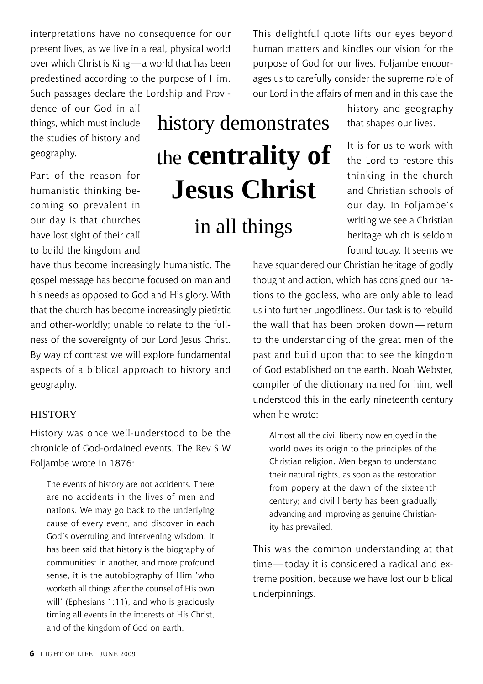interpretations have no consequence for our present lives, as we live in a real, physical world over which Christ is King—a world that has been predestined according to the purpose of Him. Such passages declare the Lordship and Provi-

dence of our God in all things, which must include the studies of history and geography.

Part of the reason for humanistic thinking becoming so prevalent in our day is that churches have lost sight of their call to build the kingdom and

have thus become increasingly humanistic. The gospel message has become focused on man and his needs as opposed to God and His glory. With that the church has become increasingly pietistic and other-worldly; unable to relate to the fullness of the sovereignty of our Lord Jesus Christ. By way of contrast we will explore fundamental aspects of a biblical approach to history and geography.

#### **HISTORY**

History was once well-understood to be the chronicle of God-ordained events. The Rev S W Foljambe wrote in 1876:

The events of history are not accidents. There are no accidents in the lives of men and nations. We may go back to the underlying cause of every event, and discover in each God's overruling and intervening wisdom. It has been said that history is the biography of communities: in another, and more profound sense, it is the autobiography of Him 'who worketh all things after the counsel of His own will' (Ephesians 1:11), and who is graciously timing all events in the interests of His Christ, and of the kingdom of God on earth.

history demonstrates the **centrality of Jesus Christ** in all things

This delightful quote lifts our eyes beyond human matters and kindles our vision for the purpose of God for our lives. Foljambe encourages us to carefully consider the supreme role of our Lord in the affairs of men and in this case the

> history and geography that shapes our lives.

> It is for us to work with the Lord to restore this thinking in the church and Christian schools of our day. In Foljambe's writing we see a Christian heritage which is seldom found today. It seems we

have squandered our Christian heritage of godly thought and action, which has consigned our nations to the godless, who are only able to lead us into further ungodliness. Our task is to rebuild the wall that has been broken down — return to the understanding of the great men of the past and build upon that to see the kingdom of God established on the earth. Noah Webster, compiler of the dictionary named for him, well understood this in the early nineteenth century when he wrote:

Almost all the civil liberty now enjoyed in the world owes its origin to the principles of the Christian religion. Men began to understand their natural rights, as soon as the restoration from popery at the dawn of the sixteenth century; and civil liberty has been gradually advancing and improving as genuine Christianity has prevailed.

This was the common understanding at that time—today it is considered a radical and extreme position, because we have lost our biblical underpinnings.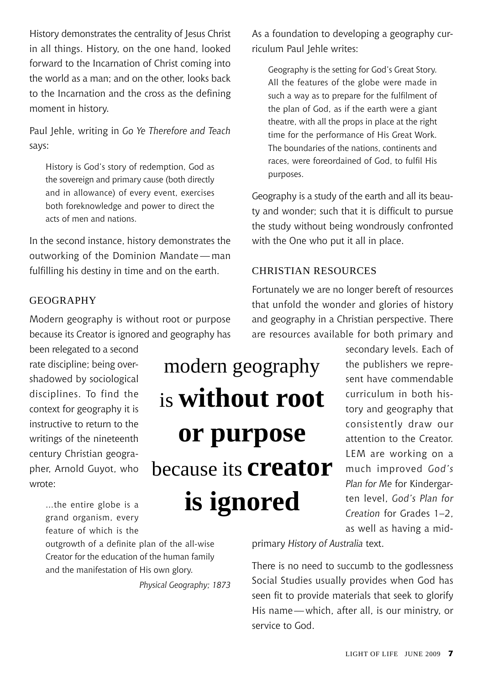History demonstrates the centrality of Jesus Christ in all things. History, on the one hand, looked forward to the Incarnation of Christ coming into the world as a man; and on the other, looks back to the Incarnation and the cross as the defining moment in history.

Paul Jehle, writing in *Go Ye Therefore and Teach*  says:

History is God's story of redemption, God as the sovereign and primary cause (both directly and in allowance) of every event, exercises both foreknowledge and power to direct the acts of men and nations.

In the second instance, history demonstrates the outworking of the Dominion Mandate— man fulfilling his destiny in time and on the earth.

### **GEOGRAPHY**

Modern geography is without root or purpose because its Creator is ignored and geography has

been relegated to a second rate discipline; being overshadowed by sociological disciplines. To find the context for geography it is instructive to return to the writings of the nineteenth century Christian geographer, Arnold Guyot, who wrote:

**or purpose** because its **creator is ignored**

modern geography

is **without root** 

…the entire globe is a grand organism, every feature of which is the

outgrowth of a definite plan of the all-wise Creator for the education of the human family and the manifestation of His own glory.

*Physical Geography; 1873*

As a foundation to developing a geography curriculum Paul Jehle writes:

Geography is the setting for God's Great Story. All the features of the globe were made in such a way as to prepare for the fulfilment of the plan of God, as if the earth were a giant theatre, with all the props in place at the right time for the performance of His Great Work. The boundaries of the nations, continents and races, were foreordained of God, to fulfil His purposes.

Geography is a study of the earth and all its beauty and wonder; such that it is difficult to pursue the study without being wondrously confronted with the One who put it all in place.

### Christian resources

Fortunately we are no longer bereft of resources that unfold the wonder and glories of history and geography in a Christian perspective. There are resources available for both primary and

> secondary levels. Each of the publishers we represent have commendable curriculum in both history and geography that consistently draw our attention to the Creator. LEM are working on a much improved *God's Plan for Me* for Kindergarten level, *God's Plan for Creation* for Grades 1–2, as well as having a mid-

primary *History of Australia* text.

There is no need to succumb to the godlessness Social Studies usually provides when God has seen fit to provide materials that seek to glorify His name—which, after all, is our ministry, or service to God.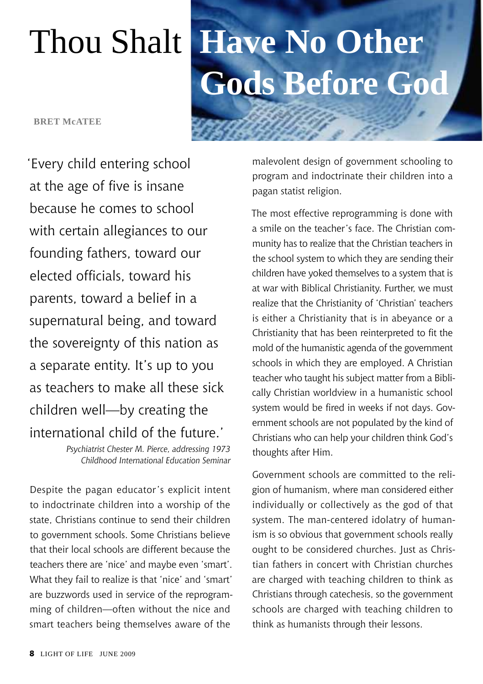**BRET McATEE** 

'Every child entering school at the age of five is insane because he comes to school with certain allegiances to our founding fathers, toward our elected officials, toward his parents, toward a belief in a supernatural being, and toward the sovereignty of this nation as a separate entity. It's up to you as teachers to make all these sick children well—by creating the international child of the future.'

> *Psychiatrist Chester M. Pierce, addressing 1973 Childhood International Education Seminar*

Despite the pagan educator's explicit intent to indoctrinate children into a worship of the state, Christians continue to send their children to government schools. Some Christians believe that their local schools are different because the teachers there are 'nice' and maybe even 'smart'. What they fail to realize is that 'nice' and 'smart' are buzzwords used in service of the reprogramming of children—often without the nice and smart teachers being themselves aware of the

# Thou Shalt **Have No Other Gods Before God**

malevolent design of government schooling to program and indoctrinate their children into a pagan statist religion.

The most effective reprogramming is done with a smile on the teacher's face. The Christian community has to realize that the Christian teachers in the school system to which they are sending their children have yoked themselves to a system that is at war with Biblical Christianity. Further, we must realize that the Christianity of 'Christian' teachers is either a Christianity that is in abeyance or a Christianity that has been reinterpreted to fit the mold of the humanistic agenda of the government schools in which they are employed. A Christian teacher who taught his subject matter from a Biblically Christian worldview in a humanistic school system would be fired in weeks if not days. Government schools are not populated by the kind of Christians who can help your children think God's thoughts after Him.

Government schools are committed to the religion of humanism, where man considered either individually or collectively as the god of that system. The man-centered idolatry of humanism is so obvious that government schools really ought to be considered churches. Just as Christian fathers in concert with Christian churches are charged with teaching children to think as Christians through catechesis, so the government schools are charged with teaching children to think as humanists through their lessons.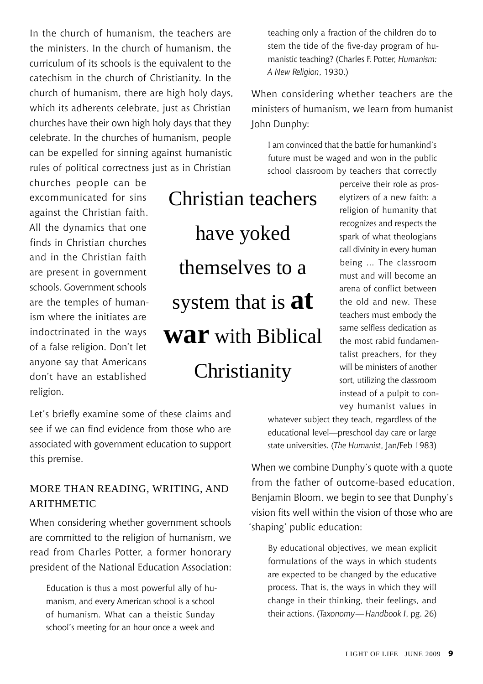In the church of humanism, the teachers are the ministers. In the church of humanism, the curriculum of its schools is the equivalent to the catechism in the church of Christianity. In the church of humanism, there are high holy days, which its adherents celebrate, just as Christian churches have their own high holy days that they celebrate. In the churches of humanism, people can be expelled for sinning against humanistic rules of political correctness just as in Christian

churches people can be excommunicated for sins against the Christian faith. All the dynamics that one finds in Christian churches and in the Christian faith are present in government schools. Government schools are the temples of humanism where the initiates are indoctrinated in the ways of a false religion. Don't let anyone say that Americans don't have an established religion.

Christian teachers have yoked themselves to a system that is **at war** with Biblical **Christianity** 

Let's briefly examine some of these claims and see if we can find evidence from those who are associated with government education to support this premise.

### More Than Reading, Writing, and **ARITHMETIC**

When considering whether government schools are committed to the religion of humanism, we read from Charles Potter, a former honorary president of the National Education Association:

Education is thus a most powerful ally of humanism, and every American school is a school of humanism. What can a theistic Sunday school's meeting for an hour once a week and

teaching only a fraction of the children do to stem the tide of the five-day program of humanistic teaching? (Charles F. Potter, *Humanism: A New Religion*, 1930.)

When considering whether teachers are the ministers of humanism, we learn from humanist John Dunphy:

I am convinced that the battle for humankind's future must be waged and won in the public school classroom by teachers that correctly

> perceive their role as proselytizers of a new faith: a religion of humanity that recognizes and respects the spark of what theologians call divinity in every human being … The classroom must and will become an arena of conflict between the old and new. These teachers must embody the same selfless dedication as the most rabid fundamentalist preachers, for they will be ministers of another sort, utilizing the classroom instead of a pulpit to convey humanist values in

whatever subject they teach, regardless of the educational level—preschool day care or large state universities. (*The Humanist*, Jan/Feb 1983)

When we combine Dunphy's quote with a quote from the father of outcome-based education, Benjamin Bloom, we begin to see that Dunphy's vision fits well within the vision of those who are 'shaping' public education:

By educational objectives, we mean explicit formulations of the ways in which students are expected to be changed by the educative process. That is, the ways in which they will change in their thinking, their feelings, and their actions. (*Taxonomy—Handbook I*, pg. 26)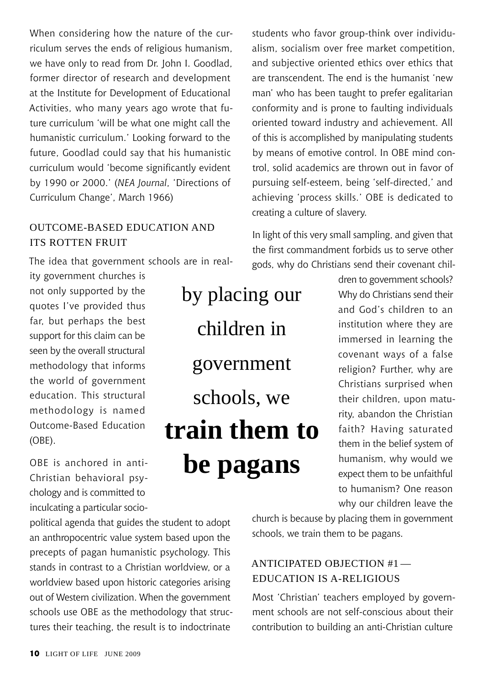When considering how the nature of the curriculum serves the ends of religious humanism, we have only to read from Dr. John I. Goodlad, former director of research and development at the Institute for Development of Educational Activities, who many years ago wrote that future curriculum 'will be what one might call the humanistic curriculum.' Looking forward to the future, Goodlad could say that his humanistic curriculum would 'become significantly evident by 1990 or 2000.' (*NEA Journal*, 'Directions of Curriculum Change', March 1966)

### Outcome-Based Education and Its Rotten Fruit

The idea that government schools are in real-

ity government churches is not only supported by the quotes I've provided thus far, but perhaps the best support for this claim can be seen by the overall structural methodology that informs the world of government education. This structural methodology is named Outcome-Based Education (OBE).

OBE is anchored in anti-Christian behavioral psychology and is committed to inculcating a particular socio-

political agenda that guides the student to adopt an anthropocentric value system based upon the precepts of pagan humanistic psychology. This stands in contrast to a Christian worldview, or a worldview based upon historic categories arising out of Western civilization. When the government schools use OBE as the methodology that structures their teaching, the result is to indoctrinate

by placing our children in government schools, we **train them to be pagans**

students who favor group-think over individualism, socialism over free market competition, and subjective oriented ethics over ethics that are transcendent. The end is the humanist 'new man' who has been taught to prefer egalitarian conformity and is prone to faulting individuals oriented toward industry and achievement. All of this is accomplished by manipulating students by means of emotive control. In OBE mind control, solid academics are thrown out in favor of pursuing self-esteem, being 'self-directed,' and achieving 'process skills.' OBE is dedicated to creating a culture of slavery.

In light of this very small sampling, and given that the first commandment forbids us to serve other gods, why do Christians send their covenant chil-

> dren to government schools? Why do Christians send their and God's children to an institution where they are immersed in learning the covenant ways of a false religion? Further, why are Christians surprised when their children, upon maturity, abandon the Christian faith? Having saturated them in the belief system of humanism, why would we expect them to be unfaithful to humanism? One reason why our children leave the

church is because by placing them in government schools, we train them to be pagans.

### Anticipated Objection #1 — Education Is A-Religious

Most 'Christian' teachers employed by government schools are not self-conscious about their contribution to building an anti-Christian culture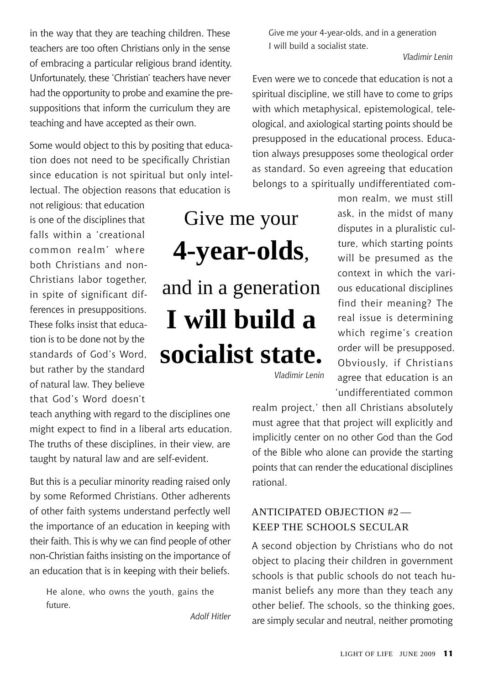in the way that they are teaching children. These teachers are too often Christians only in the sense of embracing a particular religious brand identity. Unfortunately, these 'Christian' teachers have never had the opportunity to probe and examine the presuppositions that inform the curriculum they are teaching and have accepted as their own.

Some would object to this by positing that education does not need to be specifically Christian since education is not spiritual but only intellectual. The objection reasons that education is

not religious: that education is one of the disciplines that falls within a 'creational common realm' where both Christians and non-Christians labor together, in spite of significant differences in presuppositions. These folks insist that education is to be done not by the standards of God's Word, but rather by the standard of natural law. They believe that God's Word doesn't

teach anything with regard to the disciplines one might expect to find in a liberal arts education. The truths of these disciplines, in their view, are taught by natural law and are self-evident.

But this is a peculiar minority reading raised only by some Reformed Christians. Other adherents of other faith systems understand perfectly well the importance of an education in keeping with their faith. This is why we can find people of other non-Christian faiths insisting on the importance of an education that is in keeping with their beliefs.

He alone, who owns the youth, gains the future.

*Adolf Hitler*

Give me your 4-year-olds, and in a generation I will build a socialist state.

*Vladimir Lenin*

Even were we to concede that education is not a spiritual discipline, we still have to come to grips with which metaphysical, epistemological, teleological, and axiological starting points should be presupposed in the educational process. Education always presupposes some theological order as standard. So even agreeing that education belongs to a spiritually undifferentiated com-

> mon realm, we must still ask, in the midst of many disputes in a pluralistic culture, which starting points will be presumed as the context in which the various educational disciplines find their meaning? The real issue is determining which regime's creation order will be presupposed. Obviously, if Christians agree that education is an 'undifferentiated common

*Vladimir Lenin*

Give me your

**4-year-olds**,

and in a generation

**I will build a** 

**socialist state.**

realm project,' then all Christians absolutely must agree that that project will explicitly and implicitly center on no other God than the God of the Bible who alone can provide the starting points that can render the educational disciplines rational.

### Anticipated Objection #2 — Keep the Schools Secular

A second objection by Christians who do not object to placing their children in government schools is that public schools do not teach humanist beliefs any more than they teach any other belief. The schools, so the thinking goes, are simply secular and neutral, neither promoting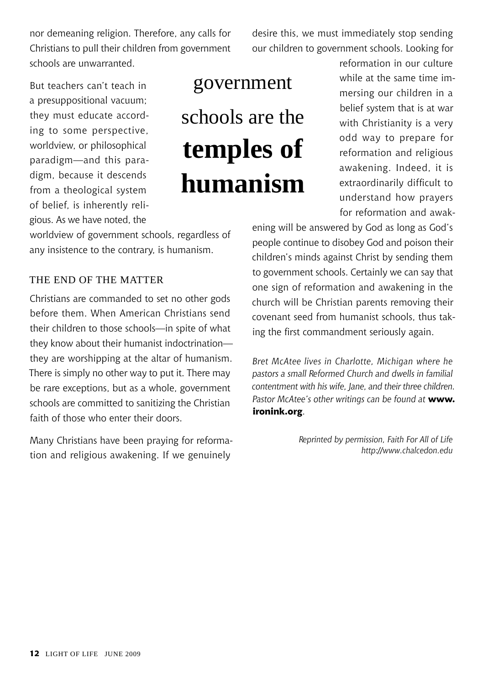nor demeaning religion. Therefore, any calls for Christians to pull their children from government schools are unwarranted.

desire this, we must immediately stop sending our children to government schools. Looking for

But teachers can't teach in a presuppositional vacuum; they must educate according to some perspective, worldview, or philosophical paradigm—and this paradigm, because it descends from a theological system of belief, is inherently religious. As we have noted, the

# government schools are the **temples of humanism**

reformation in our culture while at the same time immersing our children in a belief system that is at war with Christianity is a very odd way to prepare for reformation and religious awakening. Indeed, it is extraordinarily difficult to understand how prayers for reformation and awak-

ening will be answered by God as long as God's people continue to disobey God and poison their children's minds against Christ by sending them to government schools. Certainly we can say that one sign of reformation and awakening in the church will be Christian parents removing their covenant seed from humanist schools, thus taking the first commandment seriously again.

*Bret McAtee lives in Charlotte, Michigan where he pastors a small Reformed Church and dwells in familial contentment with his wife, Jane, and their three children. Pastor McAtee's other writings can be found at* **www. ironink.org**.

> *Reprinted by permission, Faith For All of Life http://www.chalcedon.edu*

worldview of government schools, regardless of any insistence to the contrary, is humanism.

### The End of the Matter

Christians are commanded to set no other gods before them. When American Christians send their children to those schools—in spite of what they know about their humanist indoctrination they are worshipping at the altar of humanism. There is simply no other way to put it. There may be rare exceptions, but as a whole, government schools are committed to sanitizing the Christian faith of those who enter their doors.

Many Christians have been praying for reformation and religious awakening. If we genuinely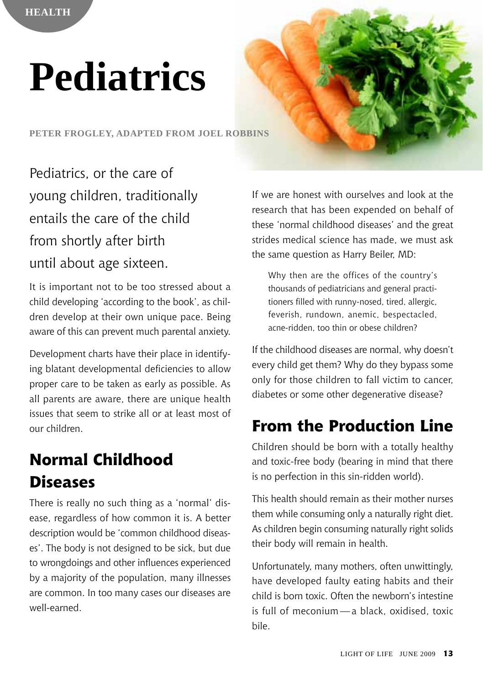# **Pediatrics**

**Peter Frogley, adapted from Joel Robbins**

Pediatrics, or the care of young children, traditionally entails the care of the child from shortly after birth until about age sixteen.

It is important not to be too stressed about a child developing 'according to the book', as children develop at their own unique pace. Being aware of this can prevent much parental anxiety.

Development charts have their place in identifying blatant developmental deficiencies to allow proper care to be taken as early as possible. As all parents are aware, there are unique health issues that seem to strike all or at least most of our children.

# **Normal Childhood Diseases**

There is really no such thing as a 'normal' disease, regardless of how common it is. A better description would be 'common childhood diseases'. The body is not designed to be sick, but due to wrongdoings and other influences experienced by a majority of the population, many illnesses are common. In too many cases our diseases are well-earned.

If we are honest with ourselves and look at the research that has been expended on behalf of these 'normal childhood diseases' and the great strides medical science has made, we must ask the same question as Harry Beiler, MD:

Why then are the offices of the country's thousands of pediatricians and general practitioners filled with runny-nosed, tired, allergic, feverish, rundown, anemic, bespectacled, acne-ridden, too thin or obese children?

If the childhood diseases are normal, why doesn't every child get them? Why do they bypass some only for those children to fall victim to cancer, diabetes or some other degenerative disease?

# **From the Production Line**

Children should be born with a totally healthy and toxic-free body (bearing in mind that there is no perfection in this sin-ridden world).

This health should remain as their mother nurses them while consuming only a naturally right diet. As children begin consuming naturally right solids their body will remain in health.

Unfortunately, many mothers, often unwittingly, have developed faulty eating habits and their child is born toxic. Often the newborn's intestine is full of meconium — a black, oxidised, toxic bile.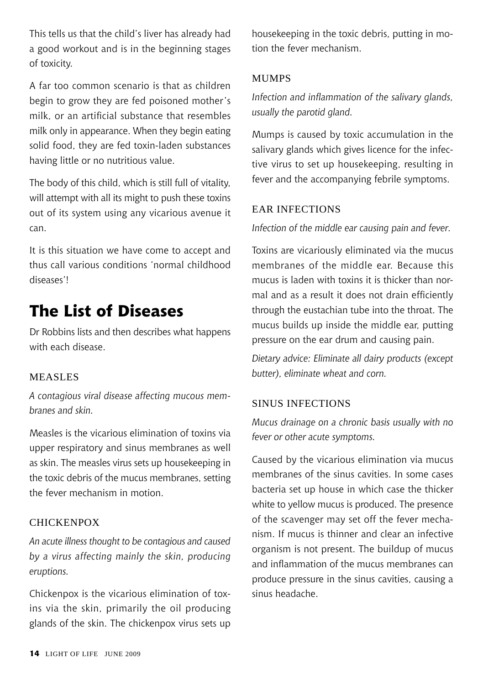This tells us that the child's liver has already had a good workout and is in the beginning stages of toxicity.

A far too common scenario is that as children begin to grow they are fed poisoned mother's milk, or an artificial substance that resembles milk only in appearance. When they begin eating solid food, they are fed toxin-laden substances having little or no nutritious value.

The body of this child, which is still full of vitality, will attempt with all its might to push these toxins out of its system using any vicarious avenue it can.

It is this situation we have come to accept and thus call various conditions 'normal childhood diseases'!

# **The List of Diseases**

Dr Robbins lists and then describes what happens with each disease.

### **MEASLES**

*A contagious viral disease affecting mucous membranes and skin.*

Measles is the vicarious elimination of toxins via upper respiratory and sinus membranes as well as skin. The measles virus sets up housekeeping in the toxic debris of the mucus membranes, setting the fever mechanism in motion.

### **CHICKENPOX**

*An acute illness thought to be contagious and caused by a virus affecting mainly the skin, producing eruptions.*

Chickenpox is the vicarious elimination of toxins via the skin, primarily the oil producing glands of the skin. The chickenpox virus sets up

housekeeping in the toxic debris, putting in motion the fever mechanism.

### **MUMPS**

*Infection and inflammation of the salivary glands, usually the parotid gland.*

Mumps is caused by toxic accumulation in the salivary glands which gives licence for the infective virus to set up housekeeping, resulting in fever and the accompanying febrile symptoms.

### Ear Infections

*Infection of the middle ear causing pain and fever.*

Toxins are vicariously eliminated via the mucus membranes of the middle ear. Because this mucus is laden with toxins it is thicker than normal and as a result it does not drain efficiently through the eustachian tube into the throat. The mucus builds up inside the middle ear, putting pressure on the ear drum and causing pain.

*Dietary advice: Eliminate all dairy products (except butter), eliminate wheat and corn.*

### SINUS INFECTIONS

*Mucus drainage on a chronic basis usually with no fever or other acute symptoms.*

Caused by the vicarious elimination via mucus membranes of the sinus cavities. In some cases bacteria set up house in which case the thicker white to yellow mucus is produced. The presence of the scavenger may set off the fever mechanism. If mucus is thinner and clear an infective organism is not present. The buildup of mucus and inflammation of the mucus membranes can produce pressure in the sinus cavities, causing a sinus headache.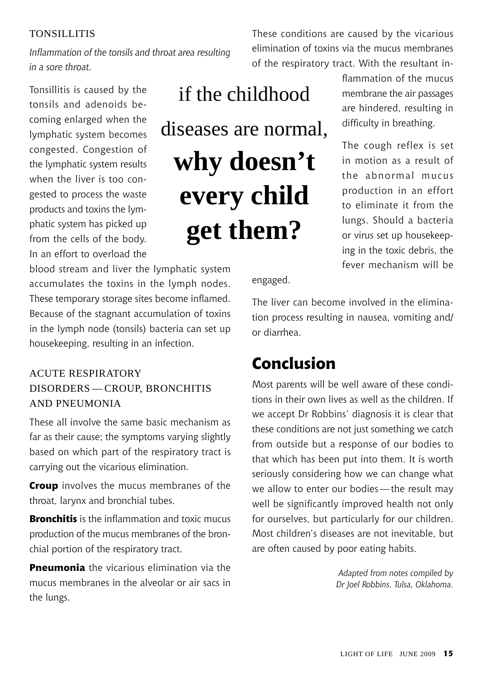### **TONSILLITIS**

*Inflammation of the tonsils and throat area resulting in a sore throat.*

Tonsillitis is caused by the tonsils and adenoids becoming enlarged when the lymphatic system becomes congested. Congestion of the lymphatic system results when the liver is too congested to process the waste products and toxins the lymphatic system has picked up from the cells of the body. In an effort to overload the

if the childhood diseases are normal, **why doesn't every child get them?** 

blood stream and liver the lymphatic system accumulates the toxins in the lymph nodes. These temporary storage sites become inflamed. Because of the stagnant accumulation of toxins in the lymph node (tonsils) bacteria can set up housekeeping, resulting in an infection.

### Acute Respiratory Disorders — Croup, Bronchitis and Pneumonia

These all involve the same basic mechanism as far as their cause; the symptoms varying slightly based on which part of the respiratory tract is carrying out the vicarious elimination.

**Croup** involves the mucus membranes of the throat, larynx and bronchial tubes.

**Bronchitis** is the inflammation and toxic mucus production of the mucus membranes of the bronchial portion of the respiratory tract.

**Pneumonia** the vicarious elimination via the mucus membranes in the alveolar or air sacs in the lungs.

These conditions are caused by the vicarious elimination of toxins via the mucus membranes of the respiratory tract. With the resultant in-

> flammation of the mucus membrane the air passages are hindered, resulting in difficulty in breathing.

> The cough reflex is set in motion as a result of the abnormal mucus production in an effort to eliminate it from the lungs. Should a bacteria or virus set up housekeeping in the toxic debris, the fever mechanism will be

engaged.

The liver can become involved in the elimination process resulting in nausea, vomiting and/ or diarrhea.

### **Conclusion**

Most parents will be well aware of these conditions in their own lives as well as the children. If we accept Dr Robbins' diagnosis it is clear that these conditions are not just something we catch from outside but a response of our bodies to that which has been put into them. It is worth seriously considering how we can change what we allow to enter our bodies—the result may well be significantly improved health not only for ourselves, but particularly for our children. Most children's diseases are not inevitable, but are often caused by poor eating habits.

> *Adapted from notes compiled by Dr Joel Robbins, Tulsa, Oklahoma.*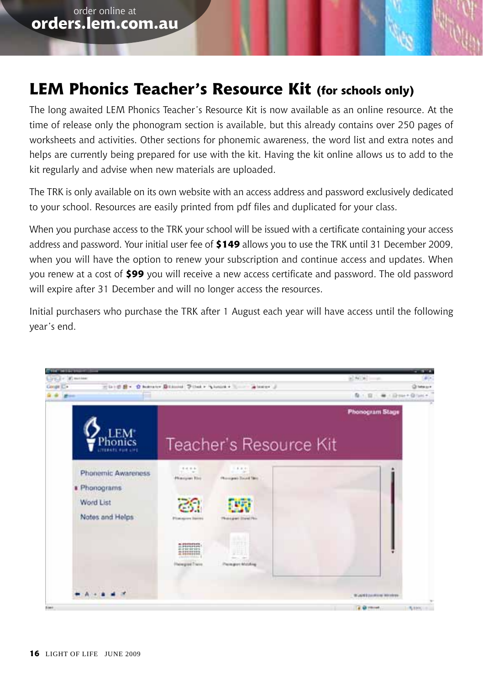### **LEM Phonics Teacher's Resource Kit (for schools only)**

The long awaited LEM Phonics Teacher's Resource Kit is now available as an online resource. At the time of release only the phonogram section is available, but this already contains over 250 pages of worksheets and activities. Other sections for phonemic awareness, the word list and extra notes and helps are currently being prepared for use with the kit. Having the kit online allows us to add to the kit regularly and advise when new materials are uploaded.

The TRK is only available on its own website with an access address and password exclusively dedicated to your school. Resources are easily printed from pdf files and duplicated for your class.

When you purchase access to the TRK your school will be issued with a certificate containing your access address and password. Your initial user fee of **\$149** allows you to use the TRK until 31 December 2009, when you will have the option to renew your subscription and continue access and updates. When you renew at a cost of **\$99** you will receive a new access certificate and password. The old password will expire after 31 December and will no longer access the resources.

Initial purchasers who purchase the TRK after 1 August each year will have access until the following year's end.

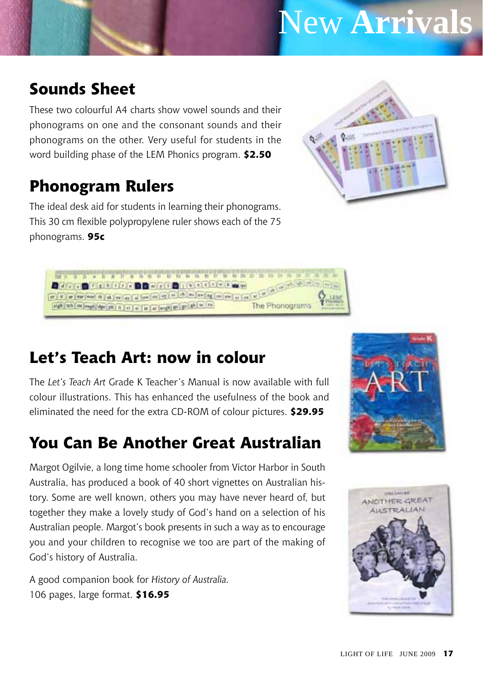# New **Arrivals**

## **Sounds Sheet**

These two colourful A4 charts show vowel sounds and their phonograms on one and the consonant sounds and their phonograms on the other. Very useful for students in the word building phase of the LEM Phonics program. **\$2.50**

# **Phonogram Rulers**

The ideal desk aid for students in learning their phonograms. This 30 cm flexible polypropylene ruler shows each of the 75 phonograms. **95c**





# **Let's Teach Art: now in colour**

The *Let's Teach Art* Grade K Teacher's Manual is now available with full colour illustrations. This has enhanced the usefulness of the book and eliminated the need for the extra CD-ROM of colour pictures. **\$29.95**

## **You Can Be Another Great Australian**

Margot Ogilvie, a long time home schooler from Victor Harbor in South Australia, has produced a book of 40 short vignettes on Australian history. Some are well known, others you may have never heard of, but together they make a lovely study of God's hand on a selection of his Australian people. Margot's book presents in such a way as to encourage you and your children to recognise we too are part of the making of God's history of Australia.

A good companion book for *History of Australia.* 106 pages, large format. **\$16.95**



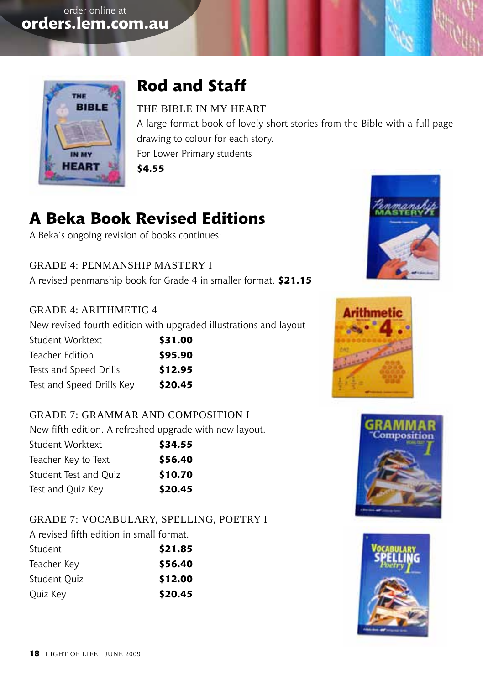

# **Rod and Staff**

### The Bible in My Heart

A large format book of lovely short stories from the Bible with a full page drawing to colour for each story. For Lower Primary students **\$4.55**

# **A Beka Book Revised Editions**

A Beka's ongoing revision of books continues:

Grade 4: Penmanship Mastery I A revised penmanship book for Grade 4 in smaller format. **\$21.15**

### Grade 4: Arithmetic 4

New revised fourth edition with upgraded illustrations and layout

| Student Worktext          | \$31.00 |
|---------------------------|---------|
| Teacher Edition           | \$95.90 |
| Tests and Speed Drills    | \$12.95 |
| Test and Speed Drills Key | \$20.45 |

### Grade 7: Grammar and composition I

New fifth edition. A refreshed upgrade with new layout.

| Student Worktext      | \$34.55 |
|-----------------------|---------|
| Teacher Key to Text   | \$56.40 |
| Student Test and Ouiz | \$10.70 |
| Test and Quiz Key     | \$20.45 |

### Grade 7: Vocabulary, Spelling, Poetry I

A revised fifth edition in small format.

| Student      | \$21.85 |
|--------------|---------|
| Teacher Key  | \$56.40 |
| Student Ouiz | \$12.00 |
| Quiz Key     | \$20.45 |







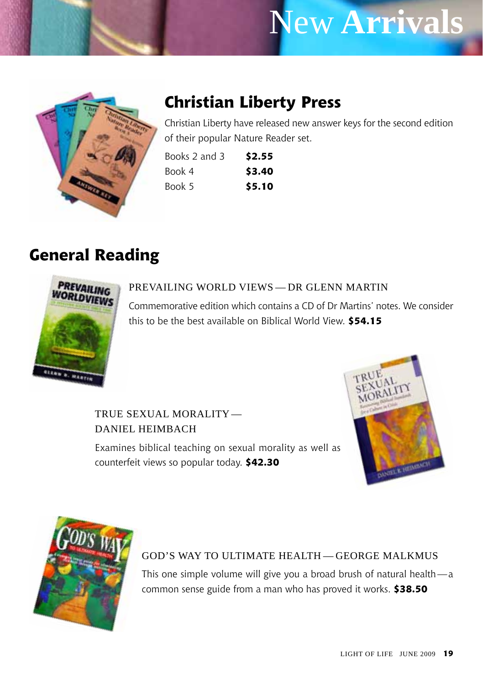# New **Arrivals**



# **Christian Liberty Press**

Christian Liberty have released new answer keys for the second edition of their popular Nature Reader set.

| Books 2 and 3 | \$2.55 |
|---------------|--------|
| Book 4        | \$3.40 |
| Book 5        | \$5.10 |

### **General Reading**



### Prevailing World Views — Dr Glenn Martin

Commemorative edition which contains a CD of Dr Martins' notes. We consider this to be the best available on Biblical World View. **\$54.15**

True Sexual Morality— Daniel Heimbach

Examines biblical teaching on sexual morality as well as counterfeit views so popular today. **\$42.30**





### God's Way to Ultimate Health — George Malkmus

This one simple volume will give you a broad brush of natural health—a common sense guide from a man who has proved it works. **\$38.50**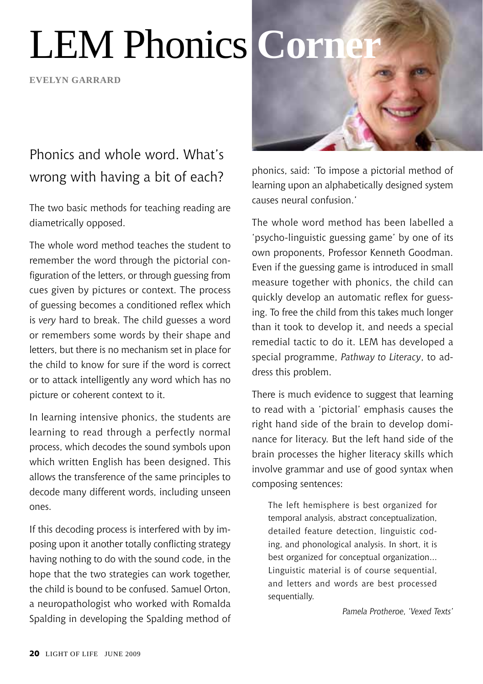# LEM Phonics **Corn**

**evelyn garrard**

## Phonics and whole word. What's wrong with having a bit of each?

The two basic methods for teaching reading are diametrically opposed.

The whole word method teaches the student to remember the word through the pictorial configuration of the letters, or through guessing from cues given by pictures or context. The process of guessing becomes a conditioned reflex which is *very* hard to break. The child guesses a word or remembers some words by their shape and letters, but there is no mechanism set in place for the child to know for sure if the word is correct or to attack intelligently any word which has no picture or coherent context to it.

In learning intensive phonics, the students are learning to read through a perfectly normal process, which decodes the sound symbols upon which written English has been designed. This allows the transference of the same principles to decode many different words, including unseen ones.

If this decoding process is interfered with by imposing upon it another totally conflicting strategy having nothing to do with the sound code, in the hope that the two strategies can work together, the child is bound to be confused. Samuel Orton, a neuropathologist who worked with Romalda Spalding in developing the Spalding method of



phonics, said: 'To impose a pictorial method of learning upon an alphabetically designed system causes neural confusion.'

The whole word method has been labelled a 'psycho-linguistic guessing game' by one of its own proponents, Professor Kenneth Goodman. Even if the guessing game is introduced in small measure together with phonics, the child can quickly develop an automatic reflex for guessing. To free the child from this takes much longer than it took to develop it, and needs a special remedial tactic to do it. LEM has developed a special programme, *Pathway to Literacy*, to address this problem.

There is much evidence to suggest that learning to read with a 'pictorial' emphasis causes the right hand side of the brain to develop dominance for literacy. But the left hand side of the brain processes the higher literacy skills which involve grammar and use of good syntax when composing sentences:

The left hemisphere is best organized for temporal analysis, abstract conceptualization, detailed feature detection, linguistic coding, and phonological analysis. In short, it is best organized for conceptual organization... Linguistic material is of course sequential, and letters and words are best processed sequentially.

*Pamela Protheroe, 'Vexed Texts'*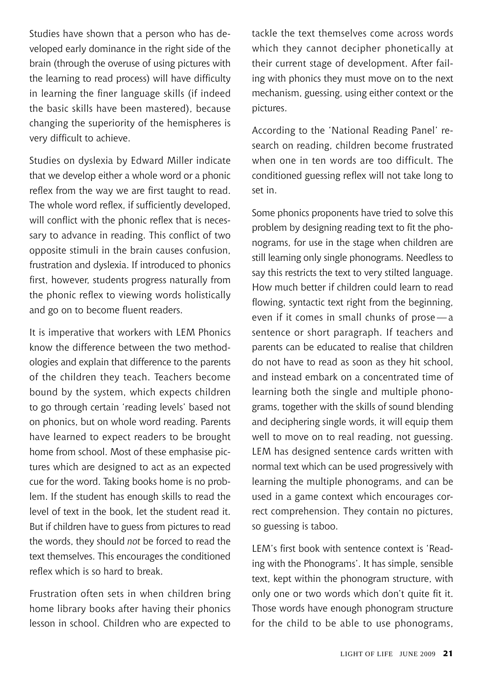Studies have shown that a person who has developed early dominance in the right side of the brain (through the overuse of using pictures with the learning to read process) will have difficulty in learning the finer language skills (if indeed the basic skills have been mastered), because changing the superiority of the hemispheres is very difficult to achieve.

Studies on dyslexia by Edward Miller indicate that we develop either a whole word or a phonic reflex from the way we are first taught to read. The whole word reflex, if sufficiently developed, will conflict with the phonic reflex that is necessary to advance in reading. This conflict of two opposite stimuli in the brain causes confusion, frustration and dyslexia. If introduced to phonics first, however, students progress naturally from the phonic reflex to viewing words holistically and go on to become fluent readers.

It is imperative that workers with LEM Phonics know the difference between the two methodologies and explain that difference to the parents of the children they teach. Teachers become bound by the system, which expects children to go through certain 'reading levels' based not on phonics, but on whole word reading. Parents have learned to expect readers to be brought home from school. Most of these emphasise pictures which are designed to act as an expected cue for the word. Taking books home is no problem. If the student has enough skills to read the level of text in the book, let the student read it. But if children have to guess from pictures to read the words, they should *not* be forced to read the text themselves. This encourages the conditioned reflex which is so hard to break.

Frustration often sets in when children bring home library books after having their phonics lesson in school. Children who are expected to tackle the text themselves come across words which they cannot decipher phonetically at their current stage of development. After failing with phonics they must move on to the next mechanism, guessing, using either context or the pictures.

According to the 'National Reading Panel' research on reading, children become frustrated when one in ten words are too difficult. The conditioned guessing reflex will not take long to set in.

Some phonics proponents have tried to solve this problem by designing reading text to fit the phonograms, for use in the stage when children are still learning only single phonograms. Needless to say this restricts the text to very stilted language. How much better if children could learn to read flowing, syntactic text right from the beginning. even if it comes in small chunks of prose — a sentence or short paragraph. If teachers and parents can be educated to realise that children do not have to read as soon as they hit school, and instead embark on a concentrated time of learning both the single and multiple phonograms, together with the skills of sound blending and deciphering single words, it will equip them well to move on to real reading, not guessing. LEM has designed sentence cards written with normal text which can be used progressively with learning the multiple phonograms, and can be used in a game context which encourages correct comprehension. They contain no pictures, so guessing is taboo.

LEM's first book with sentence context is 'Reading with the Phonograms'. It has simple, sensible text, kept within the phonogram structure, with only one or two words which don't quite fit it. Those words have enough phonogram structure for the child to be able to use phonograms,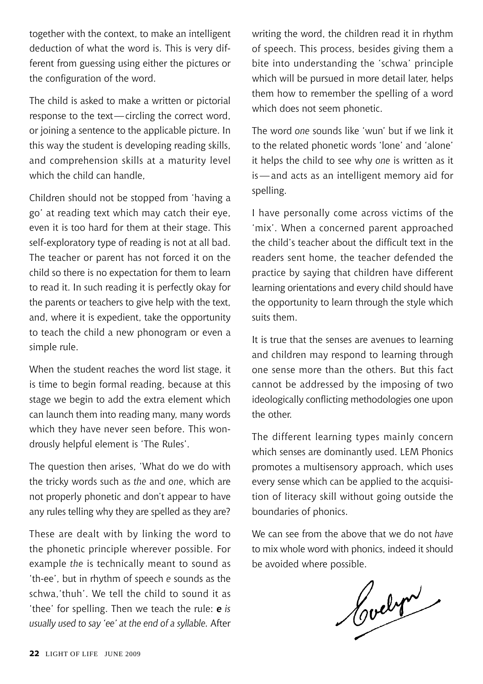together with the context, to make an intelligent deduction of what the word is. This is very different from guessing using either the pictures or the configuration of the word.

The child is asked to make a written or pictorial response to the text—circling the correct word, or joining a sentence to the applicable picture. In this way the student is developing reading skills, and comprehension skills at a maturity level which the child can handle.

Children should not be stopped from 'having a go' at reading text which may catch their eye, even it is too hard for them at their stage. This self-exploratory type of reading is not at all bad. The teacher or parent has not forced it on the child so there is no expectation for them to learn to read it. In such reading it is perfectly okay for the parents or teachers to give help with the text, and, where it is expedient, take the opportunity to teach the child a new phonogram or even a simple rule.

When the student reaches the word list stage, it is time to begin formal reading, because at this stage we begin to add the extra element which can launch them into reading many, many words which they have never seen before. This wondrously helpful element is 'The Rules'.

The question then arises, 'What do we do with the tricky words such as *the* and *one*, which are not properly phonetic and don't appear to have any rules telling why they are spelled as they are?

These are dealt with by linking the word to the phonetic principle wherever possible. For example *the* is technically meant to sound as 'th-ee', but in rhythm of speech *e* sounds as the schwa,'thuh'. We tell the child to sound it as 'thee' for spelling. Then we teach the rule: *e is usually used to say 'ee' at the end of a syllable.* After writing the word, the children read it in rhythm of speech. This process, besides giving them a bite into understanding the 'schwa' principle which will be pursued in more detail later, helps them how to remember the spelling of a word which does not seem phonetic.

The word *one* sounds like 'wun' but if we link it to the related phonetic words 'lone' and 'alone' it helps the child to see why *one* is written as it is—and acts as an intelligent memory aid for spelling.

I have personally come across victims of the 'mix'. When a concerned parent approached the child's teacher about the difficult text in the readers sent home, the teacher defended the practice by saying that children have different learning orientations and every child should have the opportunity to learn through the style which suits them.

It is true that the senses are avenues to learning and children may respond to learning through one sense more than the others. But this fact cannot be addressed by the imposing of two ideologically conflicting methodologies one upon the other.

The different learning types mainly concern which senses are dominantly used. LEM Phonics promotes a multisensory approach, which uses every sense which can be applied to the acquisition of literacy skill without going outside the boundaries of phonics.

We can see from the above that we do not *have* to mix whole word with phonics, indeed it should

be avoided where possible.<br> **Curelyn**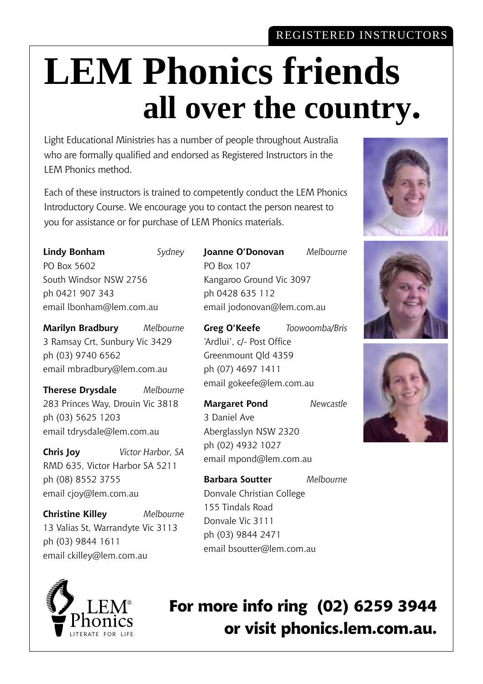### REGISTERED INSTRUCTORS

# **LEM Phonics friends all over the country.**

Light Educational Ministries has a number of people throughout Australia who are formally qualified and endorsed as Registered Instructors in the LEM Phonics method.

Each of these instructors is trained to competently conduct the LEM Phonics Introductory Course. We encourage you to contact the person nearest to you for assistance or for purchase of LEM Phonics materials.

**Lindy Bonham** *Sydney* PO Box 5602 South Windsor NSW 2756 ph 0421 907 343 email lbonham@lem.com.au

**Marilyn Bradbury** *Melbourne* 3 Ramsay Crt, Sunbury Vic 3429 ph (03) 9740 6562 email mbradbury@lem.com.au

**Therese Drysdale** *Melbourne* 283 Princes Way, Drouin Vic 3818 ph (03) 5625 1203 email tdrysdale@lem.com.au

**Chris Joy** *Victor Harbor, SA* RMD 635, Victor Harbor SA 5211 ph (08) 8552 3755 email cjoy@lem.com.au

**Christine Killey** *Melbourne* 13 Valias St, Warrandyte Vic 3113 ph (03) 9844 1611 email ckilley@lem.com.au



**Joanne O'Donovan** *Melbourne* PO Box 107 Kangaroo Ground Vic 3097 ph 0428 635 112 email jodonovan@lem.com.au

**Greg O'Keefe** *Toowoomba/Bris* 'Ardlui', c/- Post Office Greenmount Qld 4359 ph (07) 4697 1411 email gokeefe@lem.com.au

**Margaret Pond** *Newcastle* 3 Daniel Ave Aberglasslyn NSW 2320 ph (02) 4932 1027 email mpond@lem.com.au

**Barbara Soutter** *Melbourne* Donvale Christian College 155 Tindals Road Donvale Vic 3111 ph (03) 9844 2471 email bsoutter@lem.com.au







**For more info ring (02) 6259 3944 or visit phonics.lem.com.au.**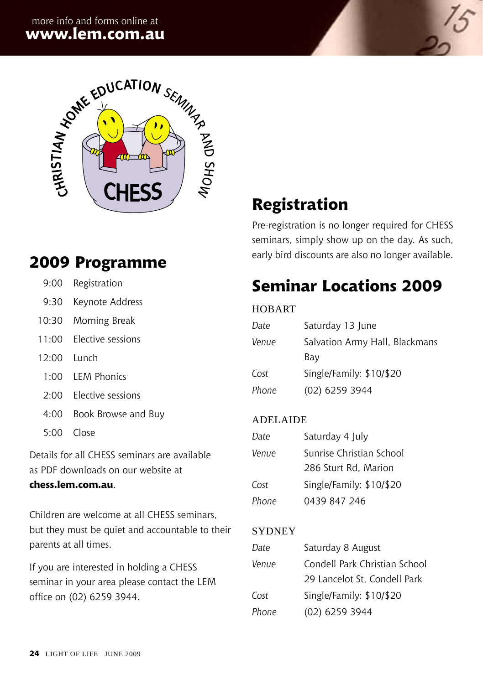

### **2009 Programme**

| 9:00 | Registration |
|------|--------------|
|------|--------------|

- 9:30 Keynote Address
- 10:30 Morning Break
- 11:00 Elective sessions
- 12:00 Lunch
	- 1:00 LEM Phonics
- 2:00 Elective sessions
- 4:00 Book Browse and Buy
- 5:00 Close

Details for all CHESS seminars are available as PDF downloads on our website at

### **chess.lem.com.au**.

Children are welcome at all CHESS seminars, but they must be quiet and accountable to their parents at all times.

If you are interested in holding a CHESS seminar in your area please contact the LEM office on (02) 6259 3944.

# **Registration**

Pre-registration is no longer required for CHESS seminars, simply show up on the day. As such, early bird discounts are also no longer available.

# **Seminar Locations 2009**

#### **HOBART**

| Date  | Saturday 13 June               |
|-------|--------------------------------|
| Venue | Salvation Army Hall, Blackmans |
|       | Bay                            |
| Cost  | Single/Family: \$10/\$20       |
| Phone | (02) 6259 3944                 |

### Adelaide

| Date  | Saturday 4 July          |
|-------|--------------------------|
| Venue | Sunrise Christian School |
|       | 286 Sturt Rd. Marion     |
| Cost  | Single/Family: \$10/\$20 |
| Phone | 0439 847 246             |

### **SYDNEY**

| Date  | Saturday 8 August             |
|-------|-------------------------------|
| Venue | Condell Park Christian School |
|       | 29 Lancelot St. Condell Park  |
| Cost  | Single/Family: \$10/\$20      |
| Phone | (02) 6259 3944                |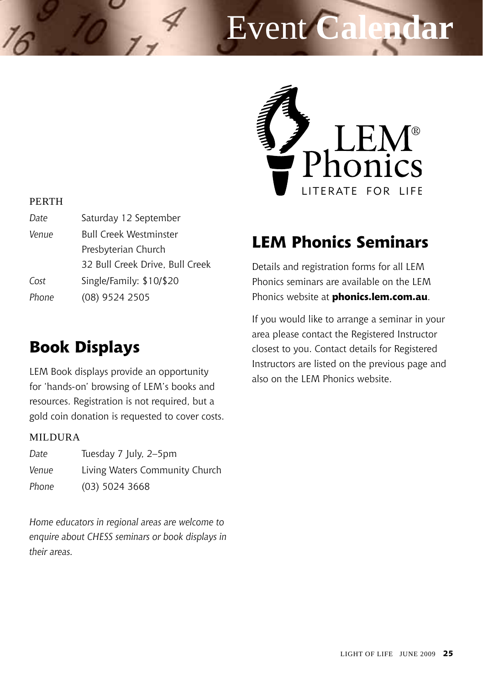# Event **Calendar**



#### **PERTH**

| Date  | Saturday 12 September           |
|-------|---------------------------------|
| Venue | <b>Bull Creek Westminster</b>   |
|       | Presbyterian Church             |
|       | 32 Bull Creek Drive, Bull Creek |
| Cost  | Single/Family: \$10/\$20        |
| Phone | (08) 9524 2505                  |
|       |                                 |

### **Book Displays**

LEM Book displays provide an opportunity for 'hands-on' browsing of LEM's books and resources. Registration is not required, but a gold coin donation is requested to cover costs.

#### MILDURA

| Date  | Tuesday 7 July, 2–5pm          |
|-------|--------------------------------|
| Venue | Living Waters Community Church |
| Phone | $(03)$ 5024 3668               |

*Home educators in regional areas are welcome to enquire about CHESS seminars or book displays in their areas.* 

## **LEM Phonics Seminars**

Details and registration forms for all LEM Phonics seminars are available on the LEM Phonics website at **phonics.lem.com.au**.

If you would like to arrange a seminar in your area please contact the Registered Instructor closest to you. Contact details for Registered Instructors are listed on the previous page and also on the LEM Phonics website.